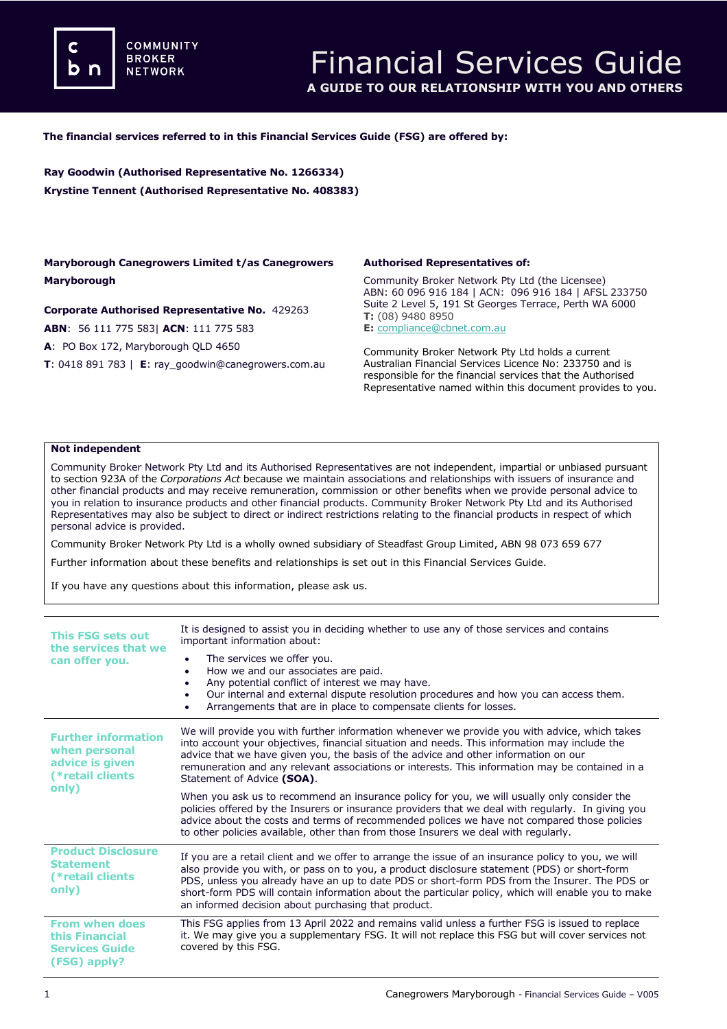**COMMUNITY BROKER NETWORK** 

#### **The financial services referred to in this Financial Services Guide (FSG) are offered by:**

**Ray Goodwin (Authorised Representative No. 1266334) Krystine Tennent (Authorised Representative No. 408383)**

#### **Maryborough Canegrowers Limited t/as Canegrowers Maryborough**

#### **Corporate Authorised Representative No.** 429263

**ABN**: 56 111 775 583| **ACN**: 111 775 583

**A**: PO Box 172, Maryborough QLD 4650

**T**: 0418 891 783 | **E**: ray\_goodwin@canegrowers.com.au

#### **Authorised Representatives of:**

Community Broker Network Pty Ltd (the Licensee) ABN: 60 096 916 184 | ACN: 096 916 184 | AFSL 233750 Suite 2 Level 5, 191 St Georges Terrace, Perth WA 6000 **T:** (08) 9480 8950 **E:** [compliance@cbnet.com.au](mailto:queries@naswg.com.au) 

Community Broker Network Pty Ltd holds a current Australian Financial Services Licence No: 233750 and is responsible for the financial services that the Authorised Representative named within this document provides to you.

#### **Not independent**

Community Broker Network Pty Ltd and its Authorised Representatives are not independent, impartial or unbiased pursuant to section 923A of the *Corporations Act* because we maintain associations and relationships with issuers of insurance and other financial products and may receive remuneration, commission or other benefits when we provide personal advice to you in relation to insurance products and other financial products. Community Broker Network Pty Ltd and its Authorised Representatives may also be subject to direct or indirect restrictions relating to the financial products in respect of which personal advice is provided.

Community Broker Network Pty Ltd is a wholly owned subsidiary of Steadfast Group Limited, ABN 98 073 659 677

Further information about these benefits and relationships is set out in this Financial Services Guide.

If you have any questions about this information, please ask us.

| This FSG sets out<br>the services that we<br>can offer you.                                 | It is designed to assist you in deciding whether to use any of those services and contains<br>important information about:                                                                                                                                                                                                                                                                                                                                        |
|---------------------------------------------------------------------------------------------|-------------------------------------------------------------------------------------------------------------------------------------------------------------------------------------------------------------------------------------------------------------------------------------------------------------------------------------------------------------------------------------------------------------------------------------------------------------------|
|                                                                                             | The services we offer you.<br>$\bullet$<br>How we and our associates are paid.<br>Any potential conflict of interest we may have.<br>Our internal and external dispute resolution procedures and how you can access them.<br>Arrangements that are in place to compensate clients for losses.                                                                                                                                                                     |
| <b>Further information</b><br>when personal<br>advice is given<br>(*retail clients<br>only) | We will provide you with further information whenever we provide you with advice, which takes<br>into account your objectives, financial situation and needs. This information may include the<br>advice that we have given you, the basis of the advice and other information on our<br>remuneration and any relevant associations or interests. This information may be contained in a<br>Statement of Advice (SOA).                                            |
|                                                                                             | When you ask us to recommend an insurance policy for you, we will usually only consider the<br>policies offered by the Insurers or insurance providers that we deal with regularly. In giving you<br>advice about the costs and terms of recommended polices we have not compared those policies<br>to other policies available, other than from those Insurers we deal with regularly.                                                                           |
| <b>Product Disclosure</b><br><b>Statement</b><br>(*retail clients<br>only)                  | If you are a retail client and we offer to arrange the issue of an insurance policy to you, we will<br>also provide you with, or pass on to you, a product disclosure statement (PDS) or short-form<br>PDS, unless you already have an up to date PDS or short-form PDS from the Insurer. The PDS or<br>short-form PDS will contain information about the particular policy, which will enable you to make<br>an informed decision about purchasing that product. |
| <b>From when does</b><br>this Financial<br><b>Services Guide</b><br>(FSG) apply?            | This FSG applies from 13 April 2022 and remains valid unless a further FSG is issued to replace<br>it. We may give you a supplementary FSG. It will not replace this FSG but will cover services not<br>covered by this FSG.                                                                                                                                                                                                                                      |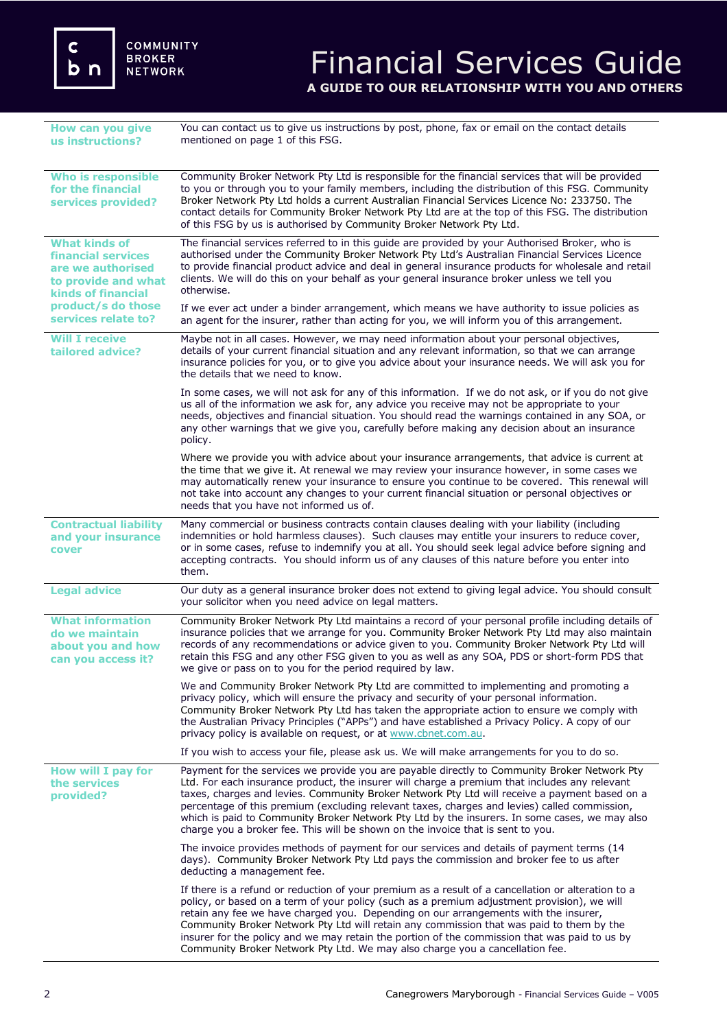c<br>b n

COMMUNITY<br>BROKER **NETWORK** 

## Financial Services Guide **A GUIDE TO OUR RELATIONSHIP WITH YOU AND OTHERS**

| How can you give<br>us instructions?                                                                                                                             | You can contact us to give us instructions by post, phone, fax or email on the contact details<br>mentioned on page 1 of this FSG.                                                                                                                                                                                                                                                                                                                                                                                                                                                 |
|------------------------------------------------------------------------------------------------------------------------------------------------------------------|------------------------------------------------------------------------------------------------------------------------------------------------------------------------------------------------------------------------------------------------------------------------------------------------------------------------------------------------------------------------------------------------------------------------------------------------------------------------------------------------------------------------------------------------------------------------------------|
| <b>Who is responsible</b><br>for the financial<br>services provided?                                                                                             | Community Broker Network Pty Ltd is responsible for the financial services that will be provided<br>to you or through you to your family members, including the distribution of this FSG. Community<br>Broker Network Pty Ltd holds a current Australian Financial Services Licence No: 233750. The<br>contact details for Community Broker Network Pty Ltd are at the top of this FSG. The distribution<br>of this FSG by us is authorised by Community Broker Network Pty Ltd.                                                                                                   |
| <b>What kinds of</b><br><b>financial services</b><br>are we authorised<br>to provide and what<br>kinds of financial<br>product/s do those<br>services relate to? | The financial services referred to in this guide are provided by your Authorised Broker, who is<br>authorised under the Community Broker Network Pty Ltd's Australian Financial Services Licence<br>to provide financial product advice and deal in general insurance products for wholesale and retail<br>clients. We will do this on your behalf as your general insurance broker unless we tell you<br>otherwise.                                                                                                                                                               |
|                                                                                                                                                                  | If we ever act under a binder arrangement, which means we have authority to issue policies as<br>an agent for the insurer, rather than acting for you, we will inform you of this arrangement.                                                                                                                                                                                                                                                                                                                                                                                     |
| <b>Will I receive</b><br>tailored advice?                                                                                                                        | Maybe not in all cases. However, we may need information about your personal objectives,<br>details of your current financial situation and any relevant information, so that we can arrange<br>insurance policies for you, or to give you advice about your insurance needs. We will ask you for<br>the details that we need to know.                                                                                                                                                                                                                                             |
|                                                                                                                                                                  | In some cases, we will not ask for any of this information. If we do not ask, or if you do not give<br>us all of the information we ask for, any advice you receive may not be appropriate to your<br>needs, objectives and financial situation. You should read the warnings contained in any SOA, or<br>any other warnings that we give you, carefully before making any decision about an insurance<br>policy.                                                                                                                                                                  |
|                                                                                                                                                                  | Where we provide you with advice about your insurance arrangements, that advice is current at<br>the time that we give it. At renewal we may review your insurance however, in some cases we<br>may automatically renew your insurance to ensure you continue to be covered. This renewal will<br>not take into account any changes to your current financial situation or personal objectives or<br>needs that you have not informed us of.                                                                                                                                       |
| <b>Contractual liability</b><br>and your insurance<br>cover                                                                                                      | Many commercial or business contracts contain clauses dealing with your liability (including<br>indemnities or hold harmless clauses). Such clauses may entitle your insurers to reduce cover,<br>or in some cases, refuse to indemnify you at all. You should seek legal advice before signing and<br>accepting contracts. You should inform us of any clauses of this nature before you enter into<br>them.                                                                                                                                                                      |
| <b>Legal advice</b>                                                                                                                                              | Our duty as a general insurance broker does not extend to giving legal advice. You should consult<br>your solicitor when you need advice on legal matters.                                                                                                                                                                                                                                                                                                                                                                                                                         |
| <b>What information</b><br>do we maintain<br>about you and how<br>can you access it?                                                                             | Community Broker Network Pty Ltd maintains a record of your personal profile including details of<br>insurance policies that we arrange for you. Community Broker Network Pty Ltd may also maintain<br>records of any recommendations or advice given to you. Community Broker Network Pty Ltd will<br>retain this FSG and any other FSG given to you as well as any SOA, PDS or short-form PDS that<br>we give or pass on to you for the period required by law.                                                                                                                  |
|                                                                                                                                                                  | We and Community Broker Network Pty Ltd are committed to implementing and promoting a<br>privacy policy, which will ensure the privacy and security of your personal information.<br>Community Broker Network Pty Ltd has taken the appropriate action to ensure we comply with<br>the Australian Privacy Principles ("APPs") and have established a Privacy Policy. A copy of our<br>privacy policy is available on request, or at www.cbnet.com.au.                                                                                                                              |
|                                                                                                                                                                  | If you wish to access your file, please ask us. We will make arrangements for you to do so.                                                                                                                                                                                                                                                                                                                                                                                                                                                                                        |
| How will I pay for<br>the services<br>provided?                                                                                                                  | Payment for the services we provide you are payable directly to Community Broker Network Pty<br>Ltd. For each insurance product, the insurer will charge a premium that includes any relevant<br>taxes, charges and levies. Community Broker Network Pty Ltd will receive a payment based on a<br>percentage of this premium (excluding relevant taxes, charges and levies) called commission,<br>which is paid to Community Broker Network Pty Ltd by the insurers. In some cases, we may also<br>charge you a broker fee. This will be shown on the invoice that is sent to you. |
|                                                                                                                                                                  | The invoice provides methods of payment for our services and details of payment terms (14<br>days). Community Broker Network Pty Ltd pays the commission and broker fee to us after<br>deducting a management fee.                                                                                                                                                                                                                                                                                                                                                                 |
|                                                                                                                                                                  | If there is a refund or reduction of your premium as a result of a cancellation or alteration to a<br>policy, or based on a term of your policy (such as a premium adjustment provision), we will<br>retain any fee we have charged you. Depending on our arrangements with the insurer,<br>Community Broker Network Pty Ltd will retain any commission that was paid to them by the<br>insurer for the policy and we may retain the portion of the commission that was paid to us by<br>Community Broker Network Pty Ltd. We may also charge you a cancellation fee.              |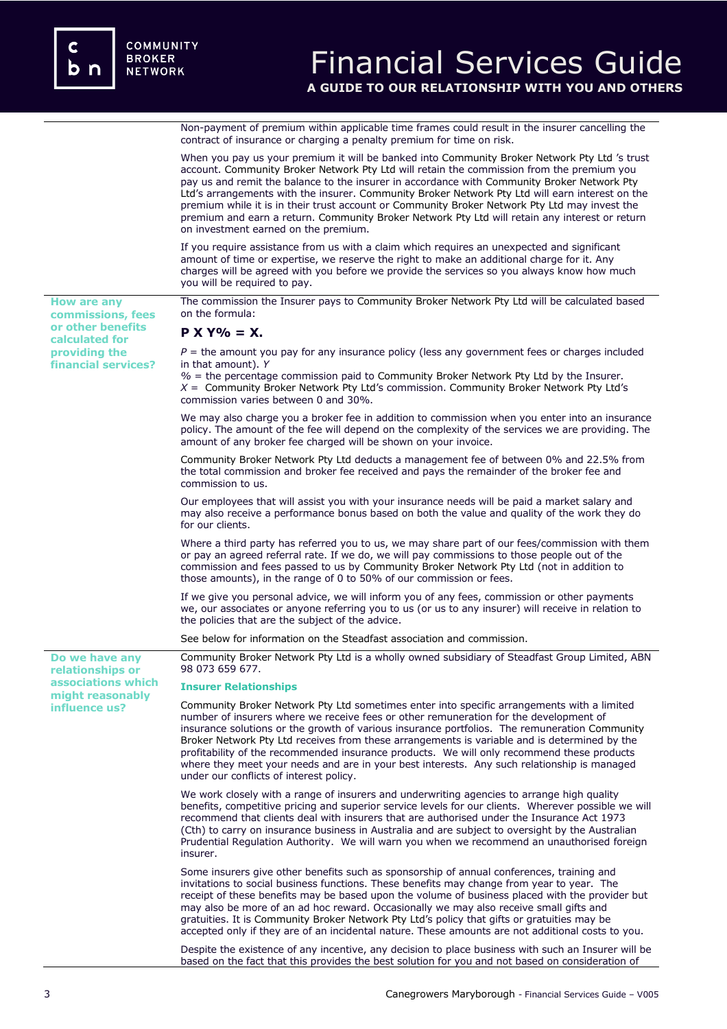Non-payment of premium within applicable time frames could result in the insurer cancelling the contract of insurance or charging a penalty premium for time on risk.

|                                         | When you pay us your premium it will be banked into Community Broker Network Pty Ltd 's trust<br>account. Community Broker Network Pty Ltd will retain the commission from the premium you<br>pay us and remit the balance to the insurer in accordance with Community Broker Network Pty<br>Ltd's arrangements with the insurer. Community Broker Network Pty Ltd will earn interest on the<br>premium while it is in their trust account or Community Broker Network Pty Ltd may invest the<br>premium and earn a return. Community Broker Network Pty Ltd will retain any interest or return<br>on investment earned on the premium. |
|-----------------------------------------|-----------------------------------------------------------------------------------------------------------------------------------------------------------------------------------------------------------------------------------------------------------------------------------------------------------------------------------------------------------------------------------------------------------------------------------------------------------------------------------------------------------------------------------------------------------------------------------------------------------------------------------------|
|                                         | If you require assistance from us with a claim which requires an unexpected and significant<br>amount of time or expertise, we reserve the right to make an additional charge for it. Any<br>charges will be agreed with you before we provide the services so you always know how much<br>you will be required to pay.                                                                                                                                                                                                                                                                                                                 |
| <b>How are any</b><br>commissions, fees | The commission the Insurer pays to Community Broker Network Pty Ltd will be calculated based<br>on the formula:                                                                                                                                                                                                                                                                                                                                                                                                                                                                                                                         |
| or other benefits<br>calculated for     | $P X Y\% = X.$                                                                                                                                                                                                                                                                                                                                                                                                                                                                                                                                                                                                                          |
| providing the<br>financial services?    | $P =$ the amount you pay for any insurance policy (less any government fees or charges included<br>in that amount). Y<br>$%$ = the percentage commission paid to Community Broker Network Pty Ltd by the Insurer.<br>$X =$ Community Broker Network Pty Ltd's commission. Community Broker Network Pty Ltd's<br>commission varies between 0 and 30%.                                                                                                                                                                                                                                                                                    |
|                                         | We may also charge you a broker fee in addition to commission when you enter into an insurance<br>policy. The amount of the fee will depend on the complexity of the services we are providing. The<br>amount of any broker fee charged will be shown on your invoice.                                                                                                                                                                                                                                                                                                                                                                  |
|                                         | Community Broker Network Pty Ltd deducts a management fee of between 0% and 22.5% from<br>the total commission and broker fee received and pays the remainder of the broker fee and<br>commission to us.                                                                                                                                                                                                                                                                                                                                                                                                                                |
|                                         | Our employees that will assist you with your insurance needs will be paid a market salary and<br>may also receive a performance bonus based on both the value and quality of the work they do<br>for our clients.                                                                                                                                                                                                                                                                                                                                                                                                                       |
|                                         | Where a third party has referred you to us, we may share part of our fees/commission with them<br>or pay an agreed referral rate. If we do, we will pay commissions to those people out of the<br>commission and fees passed to us by Community Broker Network Pty Ltd (not in addition to<br>those amounts), in the range of 0 to 50% of our commission or fees.                                                                                                                                                                                                                                                                       |
|                                         | If we give you personal advice, we will inform you of any fees, commission or other payments<br>we, our associates or anyone referring you to us (or us to any insurer) will receive in relation to<br>the policies that are the subject of the advice.                                                                                                                                                                                                                                                                                                                                                                                 |
|                                         | See below for information on the Steadfast association and commission.                                                                                                                                                                                                                                                                                                                                                                                                                                                                                                                                                                  |
| Do we have any<br>relationships or      | Community Broker Network Pty Ltd is a wholly owned subsidiary of Steadfast Group Limited, ABN<br>98 073 659 677.                                                                                                                                                                                                                                                                                                                                                                                                                                                                                                                        |
| associations which<br>might reasonably  | <b>Insurer Relationships</b>                                                                                                                                                                                                                                                                                                                                                                                                                                                                                                                                                                                                            |
| influence us?                           | Community Broker Network Pty Ltd sometimes enter into specific arrangements with a limited<br>number of insurers where we receive fees or other remuneration for the development of<br>insurance solutions or the growth of various insurance portfolios. The remuneration Community<br>Broker Network Pty Ltd receives from these arrangements is variable and is determined by the<br>profitability of the recommended insurance products. We will only recommend these products<br>where they meet your needs and are in your best interests. Any such relationship is managed<br>under our conflicts of interest policy.            |
|                                         | We work closely with a range of insurers and underwriting agencies to arrange high quality<br>benefits, competitive pricing and superior service levels for our clients. Wherever possible we will<br>recommend that clients deal with insurers that are authorised under the Insurance Act 1973<br>(Cth) to carry on insurance business in Australia and are subject to oversight by the Australian<br>Prudential Regulation Authority. We will warn you when we recommend an unauthorised foreign<br>insurer.                                                                                                                         |
|                                         | Some insurers give other benefits such as sponsorship of annual conferences, training and<br>invitations to social business functions. These benefits may change from year to year. The<br>receipt of these benefits may be based upon the volume of business placed with the provider but<br>may also be more of an ad hoc reward. Occasionally we may also receive small gifts and<br>gratuities. It is Community Broker Network Pty Ltd's policy that gifts or gratuities may be<br>accepted only if they are of an incidental nature. These amounts are not additional costs to you.                                                |
|                                         | Despite the existence of any incentive, any decision to place business with such an Insurer will be<br>based on the fact that this provides the best solution for you and not based on consideration of                                                                                                                                                                                                                                                                                                                                                                                                                                 |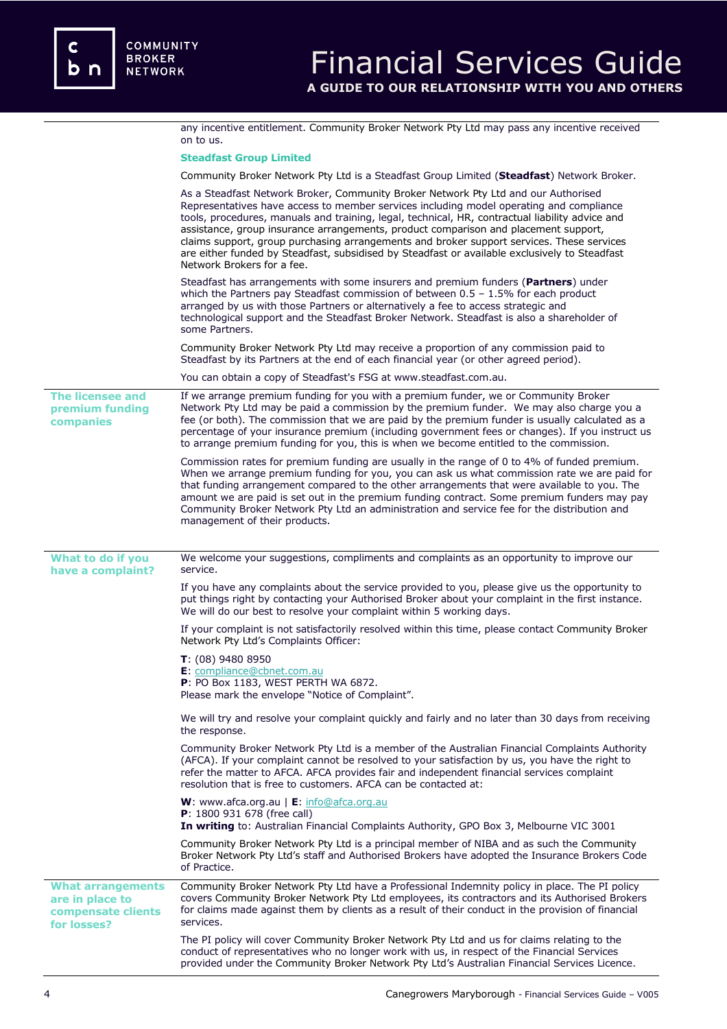|                                                                                  | any incentive entitlement. Community Broker Network Pty Ltd may pass any incentive received<br>on to us.                                                                                                                                                                                                                                                                                                                                                                                                                                                                                            |
|----------------------------------------------------------------------------------|-----------------------------------------------------------------------------------------------------------------------------------------------------------------------------------------------------------------------------------------------------------------------------------------------------------------------------------------------------------------------------------------------------------------------------------------------------------------------------------------------------------------------------------------------------------------------------------------------------|
|                                                                                  | <b>Steadfast Group Limited</b>                                                                                                                                                                                                                                                                                                                                                                                                                                                                                                                                                                      |
|                                                                                  | Community Broker Network Pty Ltd is a Steadfast Group Limited (Steadfast) Network Broker.                                                                                                                                                                                                                                                                                                                                                                                                                                                                                                           |
|                                                                                  | As a Steadfast Network Broker, Community Broker Network Pty Ltd and our Authorised<br>Representatives have access to member services including model operating and compliance<br>tools, procedures, manuals and training, legal, technical, HR, contractual liability advice and<br>assistance, group insurance arrangements, product comparison and placement support,<br>claims support, group purchasing arrangements and broker support services. These services<br>are either funded by Steadfast, subsidised by Steadfast or available exclusively to Steadfast<br>Network Brokers for a fee. |
|                                                                                  | Steadfast has arrangements with some insurers and premium funders (Partners) under<br>which the Partners pay Steadfast commission of between $0.5 - 1.5\%$ for each product<br>arranged by us with those Partners or alternatively a fee to access strategic and<br>technological support and the Steadfast Broker Network. Steadfast is also a shareholder of<br>some Partners.                                                                                                                                                                                                                    |
|                                                                                  | Community Broker Network Pty Ltd may receive a proportion of any commission paid to<br>Steadfast by its Partners at the end of each financial year (or other agreed period).                                                                                                                                                                                                                                                                                                                                                                                                                        |
|                                                                                  | You can obtain a copy of Steadfast's FSG at www.steadfast.com.au.                                                                                                                                                                                                                                                                                                                                                                                                                                                                                                                                   |
| <b>The licensee and</b><br>premium funding<br>companies                          | If we arrange premium funding for you with a premium funder, we or Community Broker<br>Network Pty Ltd may be paid a commission by the premium funder. We may also charge you a<br>fee (or both). The commission that we are paid by the premium funder is usually calculated as a<br>percentage of your insurance premium (including government fees or changes). If you instruct us<br>to arrange premium funding for you, this is when we become entitled to the commission.                                                                                                                     |
|                                                                                  | Commission rates for premium funding are usually in the range of 0 to 4% of funded premium.<br>When we arrange premium funding for you, you can ask us what commission rate we are paid for<br>that funding arrangement compared to the other arrangements that were available to you. The<br>amount we are paid is set out in the premium funding contract. Some premium funders may pay<br>Community Broker Network Pty Ltd an administration and service fee for the distribution and<br>management of their products.                                                                           |
| What to do if you<br>have a complaint?                                           | We welcome your suggestions, compliments and complaints as an opportunity to improve our<br>service.                                                                                                                                                                                                                                                                                                                                                                                                                                                                                                |
|                                                                                  | If you have any complaints about the service provided to you, please give us the opportunity to<br>put things right by contacting your Authorised Broker about your complaint in the first instance.<br>We will do our best to resolve your complaint within 5 working days.                                                                                                                                                                                                                                                                                                                        |
|                                                                                  | If your complaint is not satisfactorily resolved within this time, please contact Community Broker                                                                                                                                                                                                                                                                                                                                                                                                                                                                                                  |
|                                                                                  | Network Pty Ltd's Complaints Officer:                                                                                                                                                                                                                                                                                                                                                                                                                                                                                                                                                               |
|                                                                                  | $T: (08)$ 9480 8950<br>E: compliance@cbnet.com.au<br>P: PO Box 1183, WEST PERTH WA 6872.<br>Please mark the envelope "Notice of Complaint".                                                                                                                                                                                                                                                                                                                                                                                                                                                         |
|                                                                                  | We will try and resolve your complaint quickly and fairly and no later than 30 days from receiving<br>the response.                                                                                                                                                                                                                                                                                                                                                                                                                                                                                 |
|                                                                                  | Community Broker Network Pty Ltd is a member of the Australian Financial Complaints Authority<br>(AFCA). If your complaint cannot be resolved to your satisfaction by us, you have the right to<br>refer the matter to AFCA. AFCA provides fair and independent financial services complaint<br>resolution that is free to customers. AFCA can be contacted at:                                                                                                                                                                                                                                     |
|                                                                                  | W: www.afca.org.au   E: info@afca.org.au<br>P: 1800 931 678 (free call)<br>In writing to: Australian Financial Complaints Authority, GPO Box 3, Melbourne VIC 3001                                                                                                                                                                                                                                                                                                                                                                                                                                  |
|                                                                                  | Community Broker Network Pty Ltd is a principal member of NIBA and as such the Community<br>Broker Network Pty Ltd's staff and Authorised Brokers have adopted the Insurance Brokers Code<br>of Practice.                                                                                                                                                                                                                                                                                                                                                                                           |
| <b>What arrangements</b><br>are in place to<br>compensate clients<br>for losses? | Community Broker Network Pty Ltd have a Professional Indemnity policy in place. The PI policy<br>covers Community Broker Network Pty Ltd employees, its contractors and its Authorised Brokers<br>for claims made against them by clients as a result of their conduct in the provision of financial<br>services.                                                                                                                                                                                                                                                                                   |